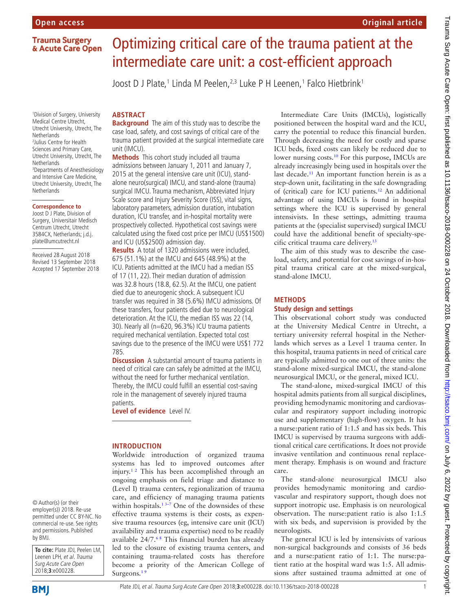**Trauma Surgery** & Acute Care Open

1 Division of Surgery, University Medical Centre Utrecht, Utrecht University, Utrecht, The **Netherlands** 2 Julius Centre for Health Sciences and Primary Care, Utrecht University, Utrecht, The **Netherlands** 3 Departments of Anesthesiology and Intensive Care Medicine, Utrecht University, Utrecht, The **Netherlands** 

#### **Correspondence to**

Joost D J Plate, Division of Surgery, Universitair Medisch Centrum Utrecht, Utrecht 3584CX, Netherlands; j.d.j. plate@umcutrecht.nl

Received 28 August 2018 Revised 13 September 2018 Accepted 17 September 2018

#### © Author(s) (or their employer(s)) 2018. Re-use permitted under CC BY-NC. No commercial re-use. See rights and permissions. Published by BMJ.

**To cite:** Plate JDJ, Peelen LM, Leenen LPH, et al. Trauma Surg Acute Care Open 2018;**3**:e000228.

# **BMI**

# Optimizing critical care of the trauma patient at the intermediate care unit: a cost-efficient approach

Joost D J Plate,<sup>1</sup> Linda M Peelen,<sup>2,3</sup> Luke P H Leenen,<sup>1</sup> Falco Hietbrink<sup>1</sup>

# **ARSTRACT**

**Background** The aim of this study was to describe the case load, safety, and cost savings of critical care of the trauma patient provided at the surgical intermediate care unit (IMCU).

**Methods** This cohort study included all trauma admissions between January 1, 2011 and January 7, 2015 at the general intensive care unit (ICU), standalone neuro(surgical) IMCU, and stand-alone (trauma) surgical IMCU. Trauma mechanism, Abbreviated Injury Scale score and Injury Severity Score (ISS), vital signs, laboratory parameters, admission duration, intubation duration, ICU transfer, and in-hospital mortality were prospectively collected. Hypothetical cost savings were calculated using the fixed cost price per IMCU (US\$1500) and ICU (US\$2500) admission day.

**Results** A total of 1320 admissions were included, 675 (51.1%) at the IMCU and 645 (48.9%) at the ICU. Patients admitted at the IMCU had a median ISS of 17 (11, 22). Their median duration of admission was 32.8 hours (18.8, 62.5). At the IMCU, one patient died due to aneurogenic shock. A subsequent ICU transfer was required in 38 (5.6%) IMCU admissions. Of these transfers, four patients died due to neurological deterioration. At the ICU, the median ISS was 22 (14, 30). Nearly all (n=620, 96.3%) ICU trauma patients required mechanical ventilation. Expected total cost savings due to the presence of the IMCU were US\$1 772 785.

**Discussion** A substantial amount of trauma patients in need of critical care can safely be admitted at the IMCU, without the need for further mechanical ventilation. Thereby, the IMCU could fulfill an essential cost-saving role in the management of severely injured trauma patients.

**Level of evidence** Level IV.

# **Introduction**

Worldwide introduction of organized trauma systems has led to improved outcomes after injury.[1 2](#page-6-0) This has been accomplished through an ongoing emphasis on field triage and distance to (Level I) trauma centers, regionalization of trauma care, and efficiency of managing trauma patients within hospitals.<sup>13-7</sup> One of the downsides of these effective trauma systems is their costs, as expensive trauma resources (eg, intensive care unit (ICU) availability and trauma expertise) need to be readily available 24/7[.6 8](#page-6-1) This financial burden has already led to the closure of existing trauma centers, and containing trauma-related costs has therefore become a priority of the American College of Surgeons.<sup>19</sup>

Intermediate Care Units (IMCUs), logistically positioned between the hospital ward and the ICU, carry the potential to reduce this financial burden. Through decreasing the need for costly and sparse ICU beds, fixed costs can likely be reduced due to lower nursing costs.<sup>10</sup> For this purpose, IMCUs are already increasingly being used in hospitals over the last decade.<sup>11</sup> An important function herein is as a step-down unit, facilitating in the safe downgrading of (critical) care for ICU patients.<sup>12</sup> An additional advantage of using IMCUs is found in hospital settings where the ICU is supervised by general intensivists. In these settings, admitting trauma patients at the (specialist supervised) surgical IMCU could have the additional benefit of specialty-specific critical trauma care delivery[.13](#page-6-5)

**Original article**

The aim of this study was to describe the caseload, safety, and potential for cost savings of in-hospital trauma critical care at the mixed-surgical, stand-alone IMCU.

# **Methods**

## **Study design and settings**

This observational cohort study was conducted at the University Medical Centre in Utrecht, a tertiary university referral hospital in the Netherlands which serves as a Level 1 trauma center. In this hospital, trauma patients in need of critical care are typically admitted to one out of three units: the stand-alone mixed-surgical IMCU, the stand-alone neurosurgical IMCU, or the general, mixed ICU.

The stand-alone, mixed-surgical IMCU of this hospital admits patients from all surgical disciplines, providing hemodynamic monitoring and cardiovascular and respiratory support including inotropic use and supplementary (high-flow) oxygen. It has a nurse:patient ratio of 1:1.5 and has six beds. This IMCU is supervised by trauma surgeons with additional critical care certifications. It does not provide invasive ventilation and continuous renal replacement therapy. Emphasis is on wound and fracture care.

The stand-alone neurosurgical IMCU also provides hemodynamic monitoring and cardiovascular and respiratory support, though does not support inotropic use. Emphasis is on neurological observation. The nurse:patient ratio is also 1:1.5 with six beds, and supervision is provided by the neurologists.

The general ICU is led by intensivists of various non-surgical backgrounds and consists of 36 beds and a nurse:patient ratio of 1:1. The nurse:patient ratio at the hospital ward was 1:5. All admissions after sustained trauma admitted at one of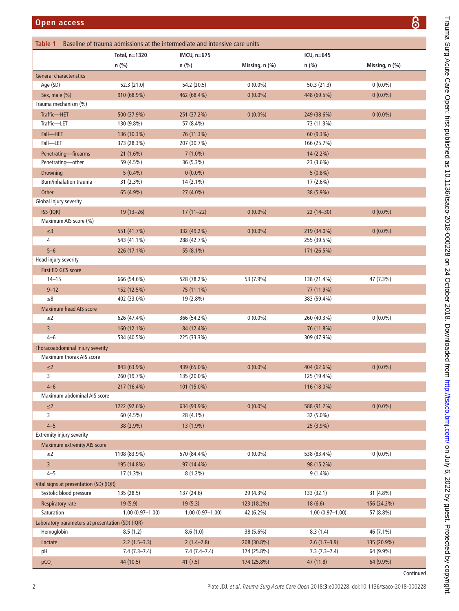<span id="page-1-0"></span>

| Table 1<br>Baseline of trauma admissions at the intermediate and intensive care units |                     |                     |                |                     |                |           |
|---------------------------------------------------------------------------------------|---------------------|---------------------|----------------|---------------------|----------------|-----------|
|                                                                                       | Total, n=1320       | IMCU, n=675         |                | ICU, n=645          |                |           |
|                                                                                       | n (%)               | n (%)               | Missing, n (%) | $n$ (%)             | Missing, n (%) |           |
| <b>General characteristics</b>                                                        |                     |                     |                |                     |                |           |
| Age (SD)                                                                              | 52.3 (21.0)         | 54.2 (20.5)         | $0(0.0\%)$     | 50.3(21.3)          | $0(0.0\%)$     |           |
| Sex, male (%)                                                                         | 910 (68.9%)         | 462 (68.4%)         | $0(0.0\%)$     | 448 (69.5%)         | $0(0.0\%)$     |           |
| Trauma mechanism (%)                                                                  |                     |                     |                |                     |                |           |
| Traffic-HET                                                                           | 500 (37.9%)         | 251 (37.2%)         | $0(0.0\%)$     | 249 (38.6%)         | $0(0.0\%)$     |           |
| Traffic-LET                                                                           | 130 (9.8%)          | 57 (8.4%)           |                | 73 (11.3%)          |                |           |
| Fall-HET                                                                              | 136 (10.3%)         | 76 (11.3%)          |                | 60 (9.3%)           |                |           |
| Fall-LET                                                                              | 373 (28.3%)         | 207 (30.7%)         |                | 166 (25.7%)         |                |           |
| Penetrating-firearms                                                                  | 21(1.6%)            | $7(1.0\%)$          |                | 14 (2.2%)           |                |           |
| Penetrating-other                                                                     | 59 (4.5%)           | 36 (5.3%)           |                | 23 (3.6%)           |                |           |
| Drowning                                                                              | $5(0.4\%)$          | $0(0.0\%)$          |                | $5(0.8\%)$          |                |           |
| Burn/inhalation trauma                                                                | 31 (2.3%)           | 14 (2.1%)           |                | 17 (2.6%)           |                |           |
| Other                                                                                 | 65 (4.9%)           | 27 (4.0%)           |                | 38 (5.9%)           |                |           |
| Global injury severity                                                                |                     |                     |                |                     |                |           |
| ISS (IQR)                                                                             | $19(13 - 26)$       | $17(11-22)$         | $0(0.0\%)$     | $22(14-30)$         | $0(0.0\%)$     |           |
| Maximum AIS score (%)                                                                 |                     |                     |                |                     |                |           |
| $\leq$ 3                                                                              | 551 (41.7%)         | 332 (49.2%)         | $0(0.0\%)$     | 219 (34.0%)         | $0(0.0\%)$     |           |
| 4                                                                                     | 543 (41.1%)         | 288 (42.7%)         |                | 255 (39.5%)         |                |           |
| $5 - 6$                                                                               | 226 (17.1%)         | 55 (8.1%)           |                | 171 (26.5%)         |                |           |
| Head injury severity                                                                  |                     |                     |                |                     |                |           |
| First ED GCS score                                                                    |                     |                     |                |                     |                |           |
| $14 - 15$                                                                             | 666 (54.6%)         | 528 (78.2%)         | 53 (7.9%)      | 138 (21.4%)         | 47 (7.3%)      |           |
| $9 - 12$                                                                              | 152 (12.5%)         | 75 (11.1%)          |                | 77 (11.9%)          |                |           |
| $\leq 8$                                                                              | 402 (33.0%)         | 19 (2.8%)           |                | 383 (59.4%)         |                |           |
| <b>Maximum head AIS score</b>                                                         |                     |                     |                |                     |                |           |
| $\leq$ 2                                                                              | 626 (47.4%)         | 366 (54.2%)         | $0(0.0\%)$     | 260 (40.3%)         | $0(0.0\%)$     |           |
| $\overline{3}$                                                                        | 160 (12.1%)         | 84 (12.4%)          |                | 76 (11.8%)          |                |           |
| $4 - 6$                                                                               | 534 (40.5%)         | 225 (33.3%)         |                | 309 (47.9%)         |                |           |
| Thoracoabdominal injury severity                                                      |                     |                     |                |                     |                |           |
| Maximum thorax AIS score                                                              |                     |                     |                |                     |                |           |
| $\leq$ 2                                                                              | 843 (63.9%)         | 439 (65.0%)         | $0(0.0\%)$     | 404 (62.6%)         | $0(0.0\%)$     |           |
| 3                                                                                     | 260 (19.7%)         | 135 (20.0%)         |                | 125 (19.4%)         |                |           |
| $4 - 6$                                                                               | 217 (16.4%)         | 101 (15.0%)         |                | 116 (18.0%)         |                |           |
| Maximum abdominal AIS score                                                           |                     |                     |                |                     |                |           |
| $\leq$ 2                                                                              | 1222 (92.6%)        | 634 (93.9%)         | $0(0.0\%)$     | 588 (91.2%)         | $0(0.0\%)$     |           |
| 3                                                                                     | 60 (4.5%)           | 28 (4.1%)           |                | 32 (5.0%)           |                |           |
| $4 - 5$                                                                               | 38 (2.9%)           | 13 (1.9%)           |                | 25 (3.9%)           |                |           |
| Extremity injury severity                                                             |                     |                     |                |                     |                |           |
| <b>Maximum extremity AIS score</b>                                                    |                     |                     |                |                     |                |           |
| $\leq$ 2                                                                              | 1108 (83.9%)        | 570 (84.4%)         | $0(0.0\%)$     | 538 (83.4%)         | $0(0.0\%)$     |           |
| $\overline{3}$                                                                        | 195 (14.8%)         | 97 (14.4%)          |                | 98 (15.2%)          |                |           |
| $4 - 5$                                                                               | 17 (1.3%)           | $8(1.2\%)$          |                | $9(1.4\%)$          |                |           |
| Vital signs at presentation (SD) (IQR)                                                |                     |                     |                |                     |                |           |
| Systolic blood pressure                                                               | 135 (28.5)          | 137 (24.6)          | 29 (4.3%)      | 133 (32.1)          | 31 (4.8%)      |           |
| <b>Respiratory rate</b>                                                               | 19(5.9)             | 19(5.3)             | 123 (18.2%)    | 18(6.6)             | 156 (24.2%)    |           |
| Saturation                                                                            | $1.00(0.97 - 1.00)$ | $1.00(0.97 - 1.00)$ | 42 (6.2%)      | $1.00(0.97 - 1.00)$ | 57 (8.8%)      |           |
| Laboratory parameters at presentation (SD) (IQR)                                      |                     |                     |                |                     |                |           |
| Hemoglobin                                                                            | 8.5(1.2)            | 8.6(1.0)            | 38 (5.6%)      | 8.3(1.4)            | 46 (7.1%)      |           |
| Lactate                                                                               | $2.2(1.5-3.3)$      | $2(1.4-2.8)$        | 208 (30.8%)    | $2.6(1.7-3.9)$      | 135 (20.9%)    |           |
| pH                                                                                    | $7.4(7.3 - 7.4)$    | $7.4(7.4-7.4)$      | 174 (25.8%)    | $7.3(7.3 - 7.4)$    | 64 (9.9%)      |           |
| pCO <sub>2</sub>                                                                      | 44 (10.5)           | 41(7.5)             | 174 (25.8%)    | 47 (11.8)           | 64 (9.9%)      |           |
|                                                                                       |                     |                     |                |                     |                | Continued |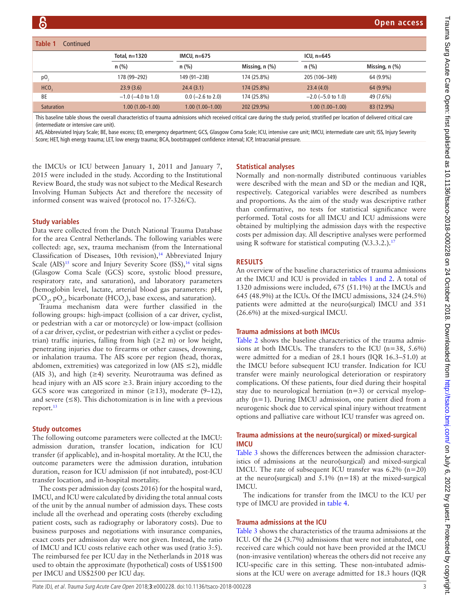| Table 1<br>Continued |                         |                     |                  |                         |                |  |
|----------------------|-------------------------|---------------------|------------------|-------------------------|----------------|--|
|                      | Total, n=1320           | IMCU, $n=675$       |                  | ICU, $n=645$            |                |  |
|                      | $n$ (%)                 | n(%)                | Missing, $n$ (%) | n(%)                    | Missing, n (%) |  |
| $p0$ <sub>2</sub>    | 178 (99–292)            | 149 (91-238)        | 174 (25.8%)      | 205 (106-349)           | 64 (9.9%)      |  |
| HCO <sub>3</sub>     | 23.9(3.6)               | 24.4(3.1)           | 174 (25.8%)      | 23.4(4.0)               | 64 (9.9%)      |  |
| BE                   | $-1.0$ ( $-4.0$ to 1.0) | $0.0$ (-2.6 to 2.0) | 174 (25.8%)      | $-2.0$ ( $-5.0$ to 1.0) | 49 (7.6%)      |  |
| <b>Saturation</b>    | $1.00(1.00 - 1.00)$     | $1.00(1.00-1.00)$   | 202 (29.9%)      | $1.00(1.00-1.00)$       | 83 (12.9%)     |  |

This baseline table shows the overall characteristics of trauma admissions which received critical care during the study period, stratified per location of delivered critical care (intermediate or intensive care unit).

AIS, Abbreviated Injury Scale; BE, base excess; ED, emergency department; GCS, Glasgow Coma Scale; ICU, intensive care unit; IMCU, intermediate care unit; ISS, Injury Severity Score; HET, high energy trauma; LET, low energy trauma; BCA, bootstrapped confidence interval; ICP, Intracranial pressure.

the IMCUs or ICU between January 1, 2011 and January 7, 2015 were included in the study. According to the Institutional Review Board, the study was not subject to the Medical Research Involving Human Subjects Act and therefore the necessity of informed consent was waived (protocol no. 17-326/C).

## **Study variables**

Data were collected from the Dutch National Trauma Database for the area Central Netherlands. The following variables were collected: age, sex, trauma mechanism (from the International Classification of Diseases, 10th revision),<sup>14</sup> Abbreviated Injury Scale  $(ALS)^{15}$  score and Injury Severity Score  $(ISS),^{16}$  vital signs (Glasgow Coma Scale (GCS) score, systolic blood pressure, respiratory rate, and saturation), and laboratory parameters (hemoglobin level, lactate, arterial blood gas parameters: pH,  $\tt pCO<sub>2</sub>, \t pO<sub>2</sub>, \t bicarbonate (HCO<sub>3</sub>), \t base excess, and saturation).$ 

Trauma mechanism data were further classified in the following groups: high-impact (collision of a car driver, cyclist, or pedestrian with a car or motorcycle) or low-impact (collision of a car driver, cyclist, or pedestrian with either a cyclist or pedestrian) traffic injuries, falling from high  $(\geq 2 \text{ m})$  or low height, penetrating injuries due to firearms or other causes, drowning, or inhalation trauma. The AIS score per region (head, thorax, abdomen, extremities) was categorized in low (AIS  $\leq$ 2), middle (AIS 3), and high ( $\geq$ 4) severity. Neurotrauma was defined as head injury with an AIS score  $\geq$ 3. Brain injury according to the GCS score was categorized in minor  $(\geq 13)$ , moderate  $(9-12)$ , and severe  $(\leq 8)$ . This dichotomization is in line with a previous report.<sup>[13](#page-6-5)</sup>

# **Study outcomes**

The following outcome parameters were collected at the IMCU: admission duration, transfer location, indication for ICU transfer (if applicable), and in-hospital mortality. At the ICU, the outcome parameters were the admission duration, intubation duration, reason for ICU admission (if not intubated), post-ICU transfer location, and in-hospital mortality.

The costs per admission day (costs 2016) for the hospital ward, IMCU, and ICU were calculated by dividing the total annual costs of the unit by the annual number of admission days. These costs include all the overhead and operating costs (thereby excluding patient costs, such as radiography or laboratory costs). Due to business purposes and negotiations with insurance companies, exact costs per admission day were not given. Instead, the ratio of IMCU and ICU costs relative each other was used (ratio 3:5). The reimbursed fee per ICU day in the Netherlands in 2018 was used to obtain the approximate (hypothetical) costs of US\$1500 per IMCU and US\$2500 per ICU day.

# **Statistical analyses**

Normally and non-normally distributed continuous variables were described with the mean and SD or the median and IQR, respectively. Categorical variables were described as numbers and proportions. As the aim of the study was descriptive rather than confirmative, no tests for statistical significance were performed. Total costs for all IMCU and ICU admissions were obtained by multiplying the admission days with the respective costs per admission day. All descriptive analyses were performed using R software for statistical computing (V.3.3.2.).<sup>17</sup>

# **Results**

An overview of the baseline characteristics of trauma admissions at the IMCU and ICU is provided in tables [1 and 2.](#page-1-0) A total of 1320 admissions were included, 675 (51.1%) at the IMCUs and 645 (48.9%) at the ICUs. Of the IMCU admissions, 324 (24.5%) patients were admitted at the neuro(surgical) IMCU and 351 (26.6%) at the mixed-surgical IMCU.

## **Trauma admissions at both IMCUs**

[Table](#page-3-0) 2 shows the baseline characteristics of the trauma admissions at both IMCUs. The transfers to the ICU  $(n=38, 5.6\%)$ were admitted for a median of 28.1 hours (IQR 16.3–51.0) at the IMCU before subsequent ICU transfer. Indication for ICU transfer were mainly neurological deterioration or respiratory complications. Of these patients, four died during their hospital stay due to neurological herniation (n=3) or cervical myelopathy (n=1). During IMCU admission, one patient died from a neurogenic shock due to cervical spinal injury without treatment options and palliative care without ICU transfer was agreed on.

# **Trauma admissions at the neuro(surgical) or mixed-surgical IMCU**

[Table](#page-4-0) 3 shows the differences between the admission characteristics of admissions at the neuro(surgical) and mixed-surgical IMCU. The rate of subsequent ICU transfer was  $6.2\%$  (n=20) at the neuro(surgical) and  $5.1\%$  (n=18) at the mixed-surgical IMCU.

The indications for transfer from the IMCU to the ICU per type of IMCU are provided in [table](#page-5-0) 4.

## **Trauma admissions at the ICU**

[Table](#page-4-0) 3 shows the characteristics of the trauma admissions at the ICU. Of the 24 (3.7%) admissions that were not intubated, one received care which could not have been provided at the IMCU (non-invasive ventilation) whereas the others did not receive any ICU-specific care in this setting. These non-intubated admissions at the ICU were on average admitted for 18.3 hours (IQR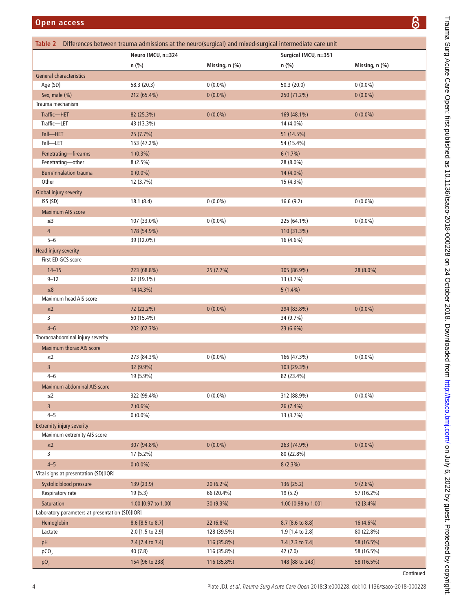<span id="page-3-0"></span>

| <b>Open access</b>                              |                           |                |                                                                                                        | ၆              |
|-------------------------------------------------|---------------------------|----------------|--------------------------------------------------------------------------------------------------------|----------------|
| Table 2                                         |                           |                | Differences between trauma admissions at the neuro(surgical) and mixed-surgical intermediate care unit |                |
|                                                 | Neuro IMCU, n=324         |                | Surgical IMCU, n=351                                                                                   |                |
|                                                 | n (%)                     | Missing, n (%) | $n$ (%)                                                                                                | Missing, n (%) |
| General characteristics                         |                           |                |                                                                                                        |                |
| Age (SD)                                        | 58.3 (20.3)               | $0(0.0\%)$     | 50.3(20.0)                                                                                             | $0(0.0\%)$     |
| Sex, male (%)                                   | 212 (65.4%)               | $0(0.0\%)$     | 250 (71.2%)                                                                                            | $0(0.0\%)$     |
| Trauma mechanism                                |                           |                |                                                                                                        |                |
| Traffic-HET                                     | 82 (25.3%)                | $0(0.0\%)$     | 169 (48.1%)                                                                                            | $0(0.0\%)$     |
| Traffic-LET                                     | 43 (13.3%)                |                | 14 (4.0%)                                                                                              |                |
| Fall-HET                                        | 25 (7.7%)                 |                | 51 (14.5%)                                                                                             |                |
| Fall-LET                                        | 153 (47.2%)               |                | 54 (15.4%)                                                                                             |                |
| Penetrating-firearms                            | $1(0.3\%)$                |                | 6(1.7%)                                                                                                |                |
| Penetrating-other                               | $8(2.5\%)$                |                | 28 (8.0%)                                                                                              |                |
| <b>Burn/inhalation trauma</b>                   | $0(0.0\%)$                |                | 14 (4.0%)                                                                                              |                |
| Other                                           | 12 (3.7%)                 |                | 15 (4.3%)                                                                                              |                |
| Global injury severity                          |                           |                |                                                                                                        |                |
| ISS (SD)                                        | 18.1(8.4)                 | $0(0.0\%)$     | 16.6(9.2)                                                                                              | $0(0.0\%)$     |
| <b>Maximum AIS score</b>                        |                           |                |                                                                                                        |                |
| ≤3                                              | 107 (33.0%)               | $0(0.0\%)$     | 225 (64.1%)                                                                                            | $0(0.0\%)$     |
| $\overline{4}$                                  | 178 (54.9%)               |                | 110 (31.3%)                                                                                            |                |
| $5 - 6$                                         | 39 (12.0%)                |                | 16 (4.6%)                                                                                              |                |
| Head injury severity                            |                           |                |                                                                                                        |                |
| First ED GCS score                              |                           |                |                                                                                                        |                |
|                                                 |                           |                |                                                                                                        |                |
| $14 - 15$<br>$9 - 12$                           | 223 (68.8%)<br>62 (19.1%) | 25 (7.7%)      | 305 (86.9%)<br>13 (3.7%)                                                                               | 28 (8.0%)      |
|                                                 |                           |                |                                                                                                        |                |
| $\leq 8$<br>Maximum head AIS score              | 14 (4.3%)                 |                | $5(1.4\%)$                                                                                             |                |
|                                                 |                           |                |                                                                                                        |                |
| $\leq$ 2<br>3                                   | 72 (22.2%)                | $0(0.0\%)$     | 294 (83.8%)                                                                                            | $0(0.0\%)$     |
|                                                 | 50 (15.4%)                |                | 34 (9.7%)                                                                                              |                |
| $4 - 6$<br>Thoracoabdominal injury severity     | 202 (62.3%)               |                | 23 (6.6%)                                                                                              |                |
|                                                 |                           |                |                                                                                                        |                |
| Maximum thorax AIS score                        |                           |                |                                                                                                        |                |
| $\leq$ 2                                        | 273 (84.3%)               | $0(0.0\%)$     | 166 (47.3%)                                                                                            | $0(0.0\%)$     |
| $\overline{3}$                                  | 32 (9.9%)                 |                | 103 (29.3%)                                                                                            |                |
| $4 - 6$                                         | 19 (5.9%)                 |                | 82 (23.4%)                                                                                             |                |
| Maximum abdominal AIS score                     |                           |                |                                                                                                        |                |
| $\leq$ 2                                        | 322 (99.4%)               | $0(0.0\%)$     | 312 (88.9%)                                                                                            | $0(0.0\%)$     |
| $\overline{3}$                                  | $2(0.6\%)$                |                | 26 (7.4%)                                                                                              |                |
| $4 - 5$                                         | $0(0.0\%)$                |                | 13 (3.7%)                                                                                              |                |
| <b>Extremity injury severity</b>                |                           |                |                                                                                                        |                |
| Maximum extremity AIS score                     |                           |                |                                                                                                        |                |
| $\leq$ 2                                        | 307 (94.8%)               | $0(0.0\%)$     | 263 (74.9%)                                                                                            | $0(0.0\%)$     |
| 3                                               | 17 (5.2%)                 |                | 80 (22.8%)                                                                                             |                |
| $4 - 5$                                         | $0(0.0\%)$                |                | $8(2.3\%)$                                                                                             |                |
| Vital signs at presentation (SD)[IQR]           |                           |                |                                                                                                        |                |
| Systolic blood pressure                         | 139 (23.9)                | 20 (6.2%)      | 136 (25.2)                                                                                             | $9(2.6\%)$     |
| Respiratory rate                                | 19(5.3)                   | 66 (20.4%)     | 19 (5.2)                                                                                               | 57 (16.2%)     |
| Saturation                                      | 1.00 [0.97 to 1.00]       | 30 (9.3%)      | 1.00 [0.98 to 1.00]                                                                                    | 12 [3.4%]      |
| Laboratory parameters at presentation (SD)[IQR] |                           |                |                                                                                                        |                |
| Hemoglobin                                      | 8.6 [8.5 to 8.7]          | 22 (6.8%)      | 8.7 [8.6 to 8.8]                                                                                       | 16 (4.6%)      |
| Lactate                                         | 2.0 [1.5 to 2.9]          | 128 (39.5%)    | 1.9 [1.4 to 2.8]                                                                                       | 80 (22.8%)     |
| pH                                              | 7.4 [7.4 to 7.4]          | 116 (35.8%)    | 7.4 [7.3 to 7.4]                                                                                       | 58 (16.5%)     |
| pCO <sub>2</sub>                                | 40(7.8)                   | 116 (35.8%)    | 42 (7.0)                                                                                               | 58 (16.5%)     |
| pO <sub>2</sub>                                 | 154 [96 to 238]           | 116 (35.8%)    | 148 [88 to 243]                                                                                        | 58 (16.5%)     |

Continued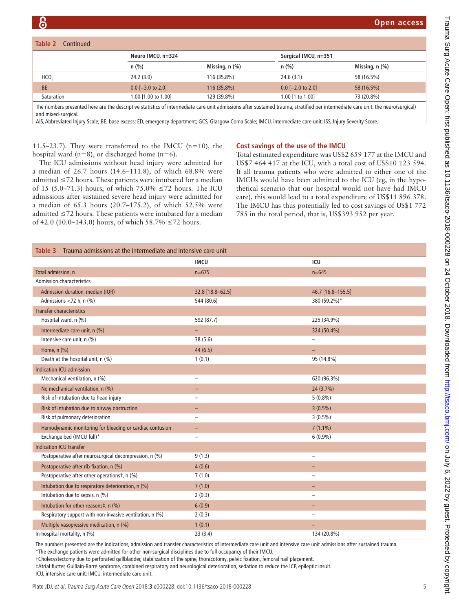| Table 2<br>Continued |                     |                     |                      |                |
|----------------------|---------------------|---------------------|----------------------|----------------|
|                      | Neuro IMCU, n=324   |                     | Surgical IMCU, n=351 |                |
|                      | $n$ (%)             | Missing, $n$ $(\%)$ | $n$ (%)              | Missing, n (%) |
| HCO.                 | 24.2(3.0)           | 116 (35.8%)         | 24.6(3.1)            | 58 (16.5%)     |
| <b>BE</b>            | $0.0$ [-3.0 to 2.0] | 116 (35.8%)         | $0.0$ [-2.0 to 2.0]  | 58 (16.5%)     |
| Saturation           | 1.00 [1.00 to 1.00] | 129 (39.8%)         | 1.00 [1 to 1.00]     | 73 (20.8%)     |

The numbers presented here are the descriptive statistics of intermediate care unit admissions after sustained trauma, stratified per intermediate care unit: the neuro(surgical) and mixed-surgical.

AIS, Abbreviated Injury Scale; BE, base excess; ED, emergency department; GCS, Glasgow Coma Scale; IMCU, intermediate care unit; ISS, Injury Severity Score.

11.5–23.7). They were transferred to the IMCU (n=10), the hospital ward  $(n=8)$ , or discharged home  $(n=6)$ .

#### **Cost savings of the use of the IMCU**

The ICU admissions without head injury were admitted for a median of 26.7 hours (14.6–111.8), of which 68.8% were admitted ≤72 hours. These patients were intubated for a median of 15 (5.0–71.3) hours, of which 75.0%  $\leq$  72 hours. The ICU admissions after sustained severe head injury were admitted for a median of 65.3 hours (20.7–175.2), of which 52.5% were admitted ≤72 hours. These patients were intubated for a median of 42.0 (10.0–143.0) hours, of which  $58.7\%$  ≤72 hours.

Total estimated expenditure was US\$2 659 177 at the IMCU and US\$7 464 417 at the ICU, with a total cost of US\$10 123 594. If all trauma patients who were admitted to either one of the IMCUs would have been admitted to the ICU (eg, in the hypothetical scenario that our hospital would not have had IMCU care), this would lead to a total expenditure of US\$11 896 378. The IMCU has thus potentially led to cost savings of US\$1 772 785 in the total period, that is, US\$393 952 per year.

<span id="page-4-0"></span>

|                                                          | <b>IMCU</b>              | ICU                      |
|----------------------------------------------------------|--------------------------|--------------------------|
| Total admission, n                                       | $n=675$                  | $n = 645$                |
| <b>Admission characteristics</b>                         |                          |                          |
| Admission duration, median (IQR)                         | 32.8 [18.8-62.5]         | 46.7 [16.8-155.5]        |
| Admissions <72 h, n (%)                                  | 544 (80.6)               | 380 (59.2%)*             |
| <b>Transfer characteristics</b>                          |                          |                          |
| Hospital ward, n (%)                                     | 592 (87.7)               | 225 (34.9%)              |
| Intermediate care unit, n (%)                            | ÷,                       | 324 (50.4%)              |
| Intensive care unit, n (%)                               | 38 (5.6)                 |                          |
| Home, n (%)                                              | 44(6.5)                  | -                        |
| Death at the hospital unit, n (%)                        | 1(0.1)                   | 95 (14.8%)               |
| Indication ICU admission                                 |                          |                          |
| Mechanical ventilation, n (%)                            |                          | 620 (96.3%)              |
| No mechanical ventilation, n (%)                         |                          | 24 (3.7%)                |
| Risk of intubation due to head injury                    | $\overline{\phantom{a}}$ | $5(0.8\%)$               |
| Risk of intubation due to airway obstruction             |                          | $3(0.5\%)$               |
| Risk of pulmonary deterioration                          |                          | $3(0.5\%)$               |
| Hemodynamic monitoring for bleeding or cardiac contusion |                          | $7(1.1\%)$               |
| Exchange bed (IMCU full)*                                |                          | $6(0.9\%)$               |
| <b>Indication ICU transfer</b>                           |                          |                          |
| Postoperative after neurosurgical decompression, n (%)   | 9(1.3)                   | $\overline{\phantom{0}}$ |
| Postoperative after rib fixation, n (%)                  | 4(0.6)                   | -                        |
| Postoperative after other operationst, n (%)             | 7(1.0)                   |                          |
| Intubation due to respiratory deterioration, n (%)       | 7(1.0)                   | -                        |
| Intubation due to sepsis, n (%)                          | 2(0.3)                   | $\overline{\phantom{0}}$ |
| Intubation for other reasons‡, n (%)                     | 6(0.9)                   |                          |
| Respiratory support with non-invasive ventilation, n (%) | 2(0.3)                   |                          |
| Multiple vasopressive medication, n (%)                  | 1(0.1)                   |                          |
| In-hospital mortality, n (%)                             | 23(3.4)                  | 134 (20.8%)              |

The numbers presented are the indications, admission and transfer characteristics of intermediate care unit and intensive care unit admissions after sustained trauma.

\*The exchange patients were admitted for other non-surgical disciplines due to full occupancy of their IMCU.

†Cholecystectomy due to perforated gallbladder, stabilization of the spine, thoracotomy, pelvic fixation, femoral nail placement.

‡Atrial flutter, Guillain-Barré syndrome, combined respiratory and neurological deterioration, sedation to reduce the ICP, epileptic insult.

ICU, intensive care unit; IMCU, intermediate care unit.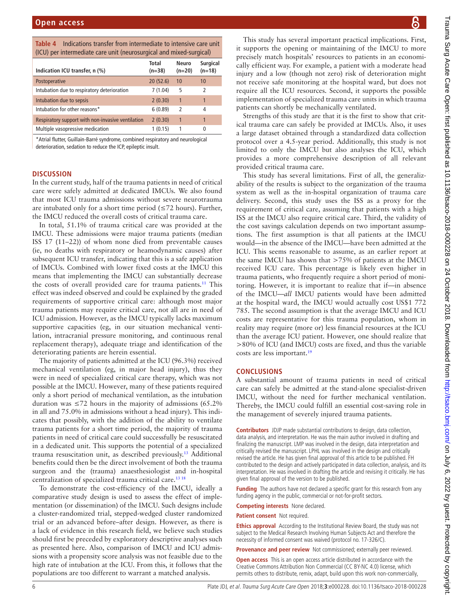<span id="page-5-0"></span>

| <b>Table 4</b> Indications transfer from intermediate to intensive care unit |
|------------------------------------------------------------------------------|
| (ICU) per intermediate care unit (neurosurgical and mixed-surgical)          |

| lico) per intermediate care unit (neurosurgical and mixed surgical) |                   |                   |                             |  |  |
|---------------------------------------------------------------------|-------------------|-------------------|-----------------------------|--|--|
| Indication ICU transfer, n (%)                                      | Total<br>$(n=38)$ | Neuro<br>$(n=20)$ | <b>Surgical</b><br>$(n=18)$ |  |  |
| Postoperative                                                       | 20(52.6)          | 10                | 10                          |  |  |
| Intubation due to respiratory deterioration                         | 7(1.04)           | 5                 | $\overline{2}$              |  |  |
| Intubation due to sepsis                                            | 2(0.30)           | 1                 | 1                           |  |  |
| Intubation for other reasons*                                       | 6(0.89)           | 2                 | 4                           |  |  |
| Respiratory support with non-invasive ventilation                   | 2(0.30)           | 1                 | 1                           |  |  |
| Multiple vasopressive medication                                    | 1(0.15)           | 1                 | 0                           |  |  |

\*Atrial flutter, Guillain-Barré syndrome, combined respiratory and neurological deterioration, sedation to reduce the ICP, epileptic insult.

## **Discussion**

In the current study, half of the trauma patients in need of critical care were safely admitted at dedicated IMCUs. We also found that most ICU trauma admissions without severe neurotrauma are intubated only for a short time period ( $\leq 72$  hours). Further, the IMCU reduced the overall costs of critical trauma care.

In total, 51.1% of trauma critical care was provided at the IMCU. These admissions were major trauma patients (median ISS 17 (11–22)) of whom none died from preventable causes (ie, no deaths with respiratory or heamodynamic causes) after subsequent ICU transfer, indicating that this is a safe application of IMCUs. Combined with lower fixed costs at the IMCU this means that implementing the IMCU can substantially decrease the costs of overall provided care for trauma patients.<sup>11</sup> This effect was indeed observed and could be explained by the graded requirements of supportive critical care: although most major trauma patients may require critical care, not all are in need of ICU admission. However, as the IMCU typically lacks maximum supportive capacities (eg, in our situation mechanical ventilation, intracranial pressure monitoring, and continuous renal replacement therapy), adequate triage and identification of the deteriorating patients are herein essential.

The majority of patients admitted at the ICU (96.3%) received mechanical ventilation (eg, in major head injury), thus they were in need of specialized critical care therapy, which was not possible at the IMCU. However, many of these patients required only a short period of mechanical ventilation, as the intubation duration was  $\leq 72$  hours in the majority of admissions (65.2%) in all and 75.0% in admissions without a head injury). This indicates that possibly, with the addition of the ability to ventilate trauma patients for a short time period, the majority of trauma patients in need of critical care could successfully be resuscitated in a dedicated unit. This supports the potential of a specialized trauma resuscitation unit, as described previously.[13](#page-6-5) Additional benefits could then be the direct involvement of both the trauma surgeon and the (trauma) anaesthesiologist and in-hospital centralization of specialized trauma critical care.<sup>13 18</sup>

To demonstrate the cost-efficiency of the IMCU, ideally a comparative study design is used to assess the effect of implementation (or dissemination) of the IMCU. Such designs include a cluster-randomized trial, stepped-wedged cluster randomized trial or an advanced before–after design. However, as there is a lack of evidence in this research field, we believe such studies should first be preceded by exploratory descriptive analyses such as presented here. Also, comparison of IMCU and ICU admissions with a propensity score analysis was not feasible due to the high rate of intubation at the ICU. From this, it follows that the populations are too different to warrant a matched analysis.

This study has several important practical implications. First, it supports the opening or maintaining of the IMCU to more precisely match hospitals' resources to patients in an economically efficient way. For example, a patient with a moderate head injury and a low (though not zero) risk of deterioration might not receive safe monitoring at the hospital ward, but does not require all the ICU resources. Second, it supports the possible implementation of specialized trauma care units in which trauma patients can shortly be mechanically ventilated.

Strengths of this study are that it is the first to show that critical trauma care can safely be provided at IMCUs. Also, it uses a large dataset obtained through a standardized data collection protocol over a 4.5-year period. Additionally, this study is not limited to only the IMCU but also analyses the ICU, which provides a more comprehensive description of all relevant provided critical trauma care.

This study has several limitations. First of all, the generalizability of the results is subject to the organization of the trauma system as well as the in-hospital organization of trauma care delivery. Second, this study uses the ISS as a proxy for the requirement of critical care, assuming that patients with a high ISS at the IMCU also require critical care. Third, the validity of the cost savings calculation depends on two important assumptions. The first assumption is that all patients at the IMCU would—in the absence of the IMCU—have been admitted at the ICU. This seems reasonable to assume, as an earlier report at the same IMCU has shown that >75% of patients at the IMCU received ICU care. This percentage is likely even higher in trauma patients, who frequently require a short period of monitoring. However, it is important to realize that if—in absence of the IMCU—*all* IMCU patients would have been admitted at the hospital ward, the IMCU would actually cost US\$1 772 785. The second assumption is that the average IMCU and ICU costs are representative for this trauma population, whom in reality may require (more or) less financial resources at the ICU than the average ICU patient. However, one should realize that >80% of ICU (and IMCU) costs are fixed, and thus the variable costs are less important[.19](#page-6-10)

#### **Conclusions**

A substantial amount of trauma patients in need of critical care can safely be admitted at the stand-alone specialist-driven IMCU, without the need for further mechanical ventilation. Thereby, the IMCU could fulfill an essential cost-saving role in the management of severely injured trauma patients.

**Contributors** JDJP made substantial contributions to design, data collection, data analysis, and interpretation. He was the main author involved in drafting and finalizing the manuscript. LMP was involved in the design, data interpretation and critically revised the manuscript. LPHL was involved in the design and critically revised the article. He has given final approval of this article to be published. FH contributed to the design and actively participated in data collection, analysis, and its interpretation. He was involved in drafting the article and revising it critically. He has given final approval of the version to be published.

**Funding** The authors have not declared a specific grant for this research from any funding agency in the public, commercial or not-for-profit sectors.

**Competing interests** None declared.

**Patient consent** Not required.

**Ethics approval** According to the Institutional Review Board, the study was not subject to the Medical Research Involving Human Subjects Act and therefore the necessity of informed consent was waived (protocol no. 17-326/C).

**Provenance and peer review** Not commissioned; externally peer reviewed.

**Open access** This is an open access article distributed in accordance with the Creative Commons Attribution Non Commercial (CC BY-NC 4.0) license, which permits others to distribute, remix, adapt, build upon this work non-commercially,